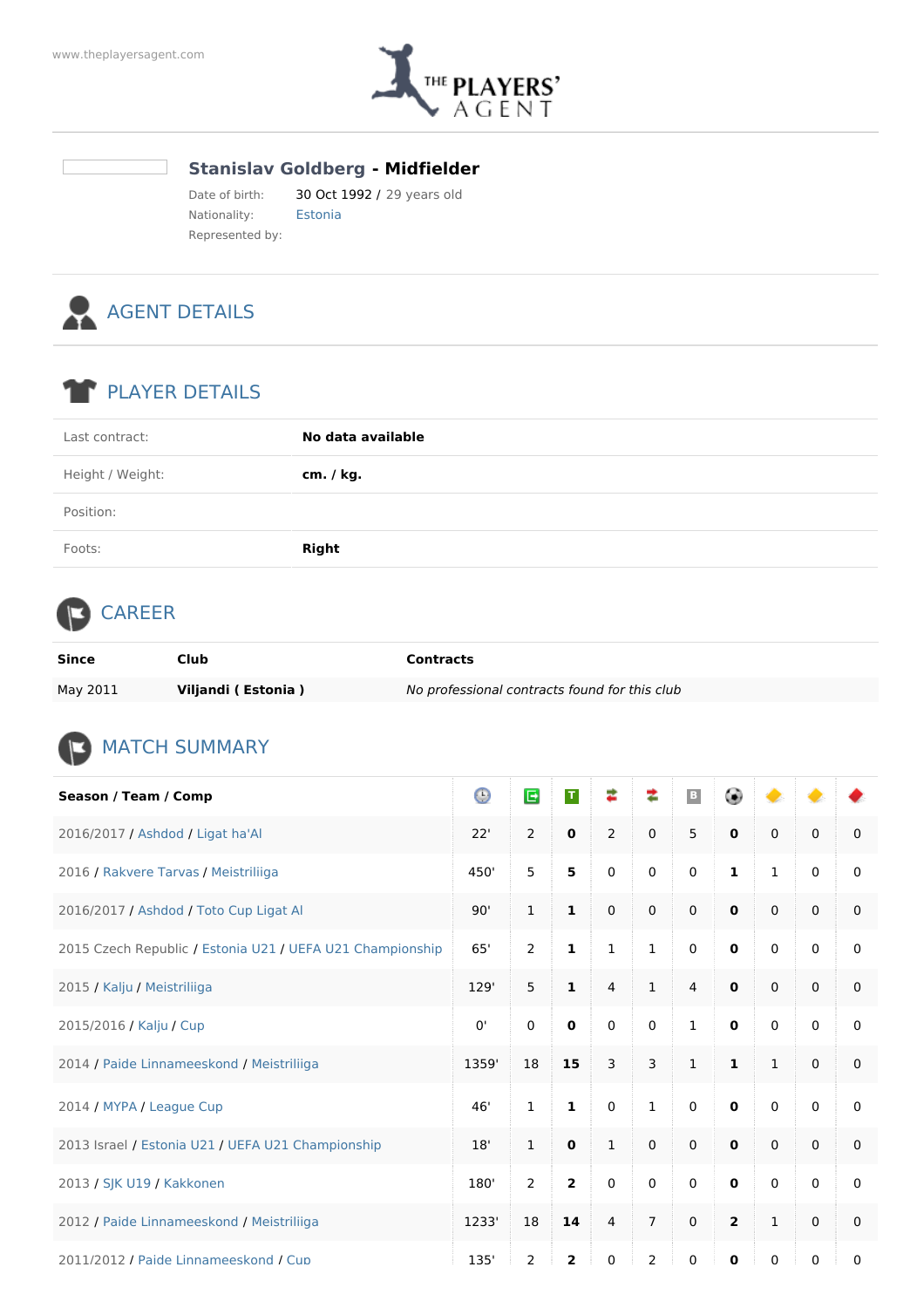

## **Stanislav Goldberg - Midfielder**

Date of birth: 30 Oct 1992 / 29 years old Nationality: Estonia Represented by:



## PLAYER DETAILS

| Height / Weight:<br>cm. / kg. | Last contract: | No data available |
|-------------------------------|----------------|-------------------|
|                               |                |                   |
| Position:                     |                |                   |
| Foots:<br><b>Right</b>        |                |                   |

## **CAREER**

| Since    | Club                | <b>Contracts</b>                              |
|----------|---------------------|-----------------------------------------------|
| May 2011 | Viljandi (Estonia ) | No professional contracts found for this club |

## **MATCH SUMMARY**

| Season / Team / Comp                                      | $\odot$ | E             | $\mathbf T$    | ≉              | ≉              | $\mid$ B     | ۰            | ●            |             |          |
|-----------------------------------------------------------|---------|---------------|----------------|----------------|----------------|--------------|--------------|--------------|-------------|----------|
| 2016/2017 / Ashdod / Ligat ha'Al                          | 22'     | 2             | $\mathbf 0$    | $\overline{2}$ | $\mathbf 0$    | 5            | $\mathbf 0$  | $\mathbf 0$  | $\mathbf 0$ | 0        |
| 2016 / Rakvere Tarvas / Meistriliiga                      | 450'    | 5             | 5              | $\mathbf 0$    | 0              | 0            | 1            | $\mathbf{1}$ | $\mathbf 0$ | 0        |
| 2016/2017 / Ashdod / Toto Cup Ligat Al                    | 90'     | $\mathbf{1}$  | $\mathbf{1}$   | $\mathbf 0$    | $\mathbf 0$    | 0            | $\mathbf{0}$ | $\mathbf{0}$ | $\mathbf 0$ | 0        |
| 2015 Czech Republic / Estonia U21 / UEFA U21 Championship | 65'     | 2             | $\mathbf{1}$   | $\mathbf{1}$   | $\mathbf{1}$   | 0            | $\mathbf 0$  | $\mathbf 0$  | $\mathbf 0$ | 0        |
| 2015 / Kalju / Meistriliiga                               | 129'    | 5             | $\mathbf{1}$   | $\overline{4}$ | $\mathbf{1}$   | 4            | $\mathbf 0$  | $\Omega$     | $\mathbf 0$ | 0        |
| 2015/2016 / Kalju / Cup                                   | 0'      | $\mathbf 0$   | $\mathbf 0$    | $\mathbf 0$    | $\mathbf 0$    | $\mathbf{1}$ | $\mathbf 0$  | $\mathbf 0$  | $\mathbf 0$ | 0        |
| 2014 / Paide Linnameeskond / Meistriliiga                 | 1359'   | 18            | 15             | 3              | 3              | $\mathbf{1}$ | $\mathbf{1}$ | $\mathbf{1}$ | $\mathbf 0$ | 0        |
| 2014 / MYPA / League Cup                                  | 46'     | $\mathbf{1}$  | $\mathbf{1}$   | $\mathbf 0$    | $\mathbf 1$    | 0            | $\mathbf 0$  | $\Omega$     | $\mathbf 0$ | 0        |
| 2013 Israel / Estonia U21 / UEFA U21 Championship         | 18'     | $\mathbf{1}$  | $\mathbf 0$    | $\mathbf{1}$   | $\mathbf 0$    | 0            | $\mathbf 0$  | $\mathbf 0$  | $\mathbf 0$ | 0        |
| 2013 / SJK U19 / Kakkonen                                 | 180'    | 2             | $\overline{2}$ | $\Omega$       | $\Omega$       | 0            | $\mathbf 0$  | $\mathbf{0}$ | $\Omega$    | 0        |
| 2012 / Paide Linnameeskond / Meistriliiga                 | 1233'   | 18            | 14             | $\overline{4}$ | $\overline{7}$ | 0            | $\mathbf{2}$ | $\mathbf{1}$ | $\mathbf 0$ | 0        |
| 2011/2012 / Paide Linnameeskond / Cup                     | 135'    | $\mathcal{P}$ | $\overline{z}$ | $\Omega$       | $\mathcal{P}$  | $\Omega$     | $\bf{0}$     | $\Omega$     | $\Omega$    | $\Omega$ |